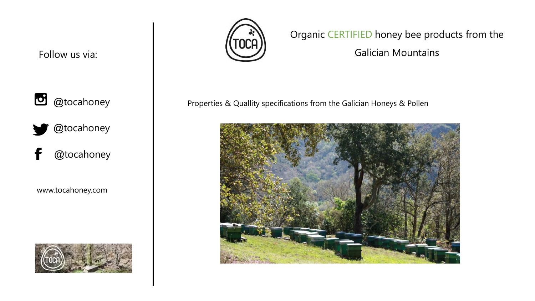$\bullet$  @tocahoney

@tocahoney

@tocahoney f

www.tocahoney.com





Organic CERTIFIED honey bee products from the

Galician Mountains

Properties & Quallity specifications from the Galician Honeys & Pollen

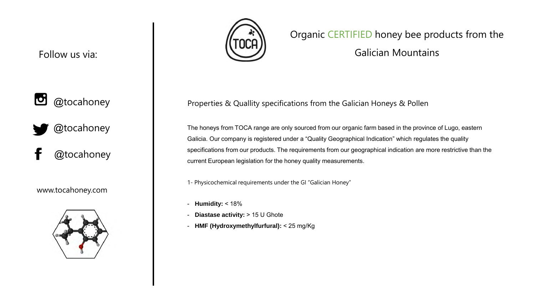

@tocahoney

@tocahoney

www.tocahoney.com





# Organic CERTIFIED honey bee products from the

Galician Mountains

Properties & Quallity specifications from the Galician Honeys & Pollen

The honeys from TOCA range are only sourced from our organic farm based in the province of Lugo, eastern Galicia. Our company is registered under a "Quality Geographical Indication" which regulates the quality specifications from our products. The requirements from our geographical indication are more restrictive than the current European legislation for the honey quality measurements.

1- Physicochemical requirements under the GI "Galician Honey"

- **Humidity:** < 18%
- **Diastase activity:** > 15 U Ghote
- **HMF (Hydroxymethylfurfural):** < 25 mg/Kg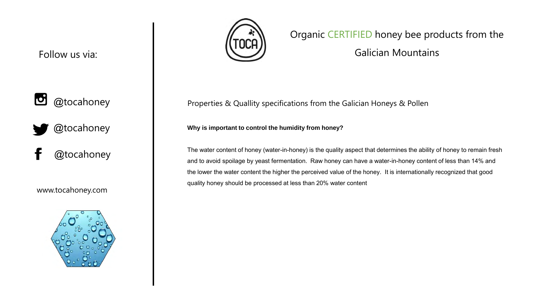

@tocahoney

@tocahoney

www.tocahoney.com





## Organic CERTIFIED honey bee products from the

Galician Mountains

Properties & Quallity specifications from the Galician Honeys & Pollen

#### **Why is important to control the humidity from honey?**

The water content of honey (water-in-honey) is the quality aspect that determines the ability of honey to remain fresh and to avoid spoilage by yeast fermentation. Raw honey can have a water-in-honey content of less than 14% and the lower the water content the higher the perceived value of the honey. It is internationally recognized that good quality honey should be processed at less than 20% water content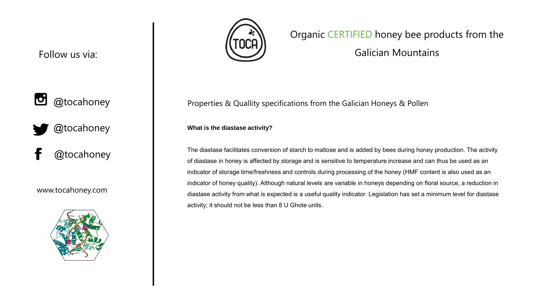

@tocahoney

@tocahoney

www.tocahoney.com





## Organic CERTIFIED honey bee products from the

Galician Mountains

Properties & Quallity specifications from the Galician Honeys & Pollen

**What is the diastase activity?**

The diastase facilitates conversion of starch to maltose and is added by bees during honey production. The activity of diastase in honey is affected by storage and is sensitive to temperature increase and can thus be used as an indicator of storage time/freshness and controls during processing of the honey (HMF content is also used as an indicator of honey quality). Although natural levels are variable in honeys depending on floral source, a reduction in diastase activity from what is expected is a useful quality indicator. Legislation has set a minimum level for diastase activity; it should not be less than 8 U Ghote units.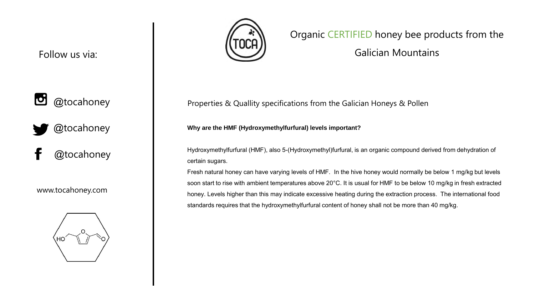

@tocahoney

@tocahoney

www.tocahoney.com





## Organic CERTIFIED honey bee products from the

Galician Mountains

Properties & Quallity specifications from the Galician Honeys & Pollen

#### **Why are the HMF (Hydroxymethylfurfural) levels important?**

Hydroxymethylfurfural (HMF), also 5-(Hydroxymethyl)furfural, is an organic compound derived from dehydration of certain sugars.

Fresh natural honey can have varying levels of HMF. In the hive honey would normally be below 1 mg/kg but levels soon start to rise with ambient temperatures above 20°C. It is usual for HMF to be below 10 mg/kg in fresh extracted honey. Levels higher than this may indicate excessive heating during the extraction process. The international food standards requires that the hydroxymethylfurfural content of honey shall not be more than 40 mg/kg.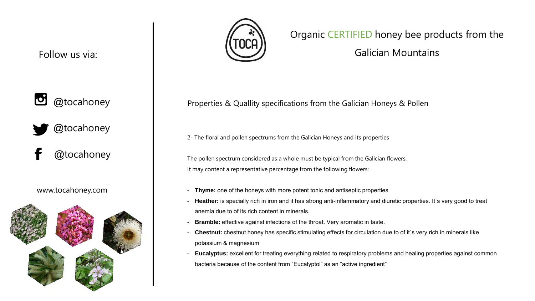

@tocahoney

@tocahoney

www.tocahoney.com





## Organic CERTIFIED honey bee products from the

Galician Mountains

Properties & Quallity specifications from the Galician Honeys & Pollen

2- The floral and pollen spectrums from the Galician Honeys and its properties

The pollen spectrum considered as a whole must be typical from the Galician flowers. It may content a representative percentage from the following flowers:

- **Thyme:** one of the honeys with more potent tonic and antiseptic properties
- **Heather:** is specially rich in iron and it has strong anti-inflammatory and diuretic properties. It´s very good to treat anemia due to of its rich content in minerals.
- **Bramble:** effective against infections of the throat. Very aromatic in taste.
- **Chestnut:** chestnut honey has specific stimulating effects for circulation due to of it´s very rich in minerals like potassium & magnesium
- **Eucalyptus:** excellent for treating everything related to respiratory problems and healing properties against common bacteria because of the content from "Eucalyptol" as an "active ingredient"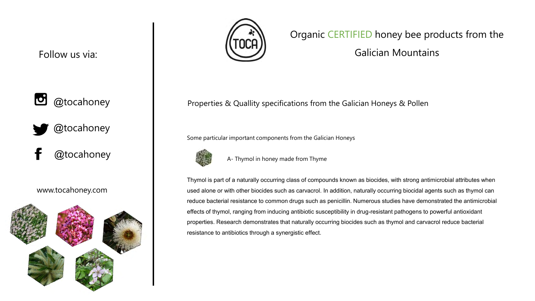

@tocahoney



www.tocahoney.com





## Organic CERTIFIED honey bee products from the

Galician Mountains

Properties & Quallity specifications from the Galician Honeys & Pollen

Some particular important components from the Galician Honeys



A- Thymol in honey made from Thyme

Thymol is part of a naturally occurring class of compounds known as biocides, with strong antimicrobial attributes when used alone or with other biocides such as carvacrol. In addition, naturally occurring biocidal agents such as thymol can reduce bacterial resistance to common drugs such as penicillin. Numerous studies have demonstrated the antimicrobial effects of thymol, ranging from inducing antibiotic susceptibility in drug-resistant pathogens to powerful antioxidant properties. Research demonstrates that naturally occurring biocides such as thymol and carvacrol reduce bacterial resistance to antibiotics through a synergistic effect.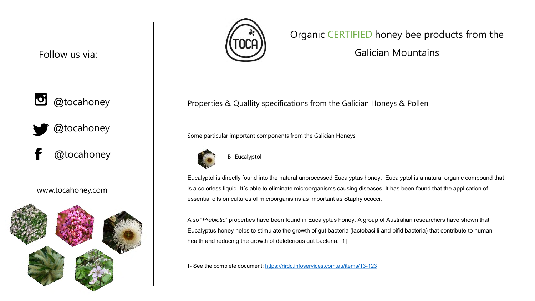

@tocahoney



www.tocahoney.com





## Organic CERTIFIED honey bee products from the

Galician Mountains

Properties & Quallity specifications from the Galician Honeys & Pollen

Some particular important components from the Galician Honeys



B- Eucalyptol

Eucalyptol is directly found into the natural unprocessed Eucalyptus honey. Eucalyptol is a natural organic compound that is a colorless liquid. It´s able to eliminate microorganisms causing diseases. It has been found that the application of essential oils on cultures of microorganisms as important as Staphylococci.

Also "*Prebiotic*" properties have been found in Eucalyptus honey. A group of Australian researchers have shown that Eucalyptus honey helps to stimulate the growth of gut bacteria (lactobacilli and bifid bacteria) that contribute to human health and reducing the growth of deleterious gut bacteria. [1]

1- See the complete document:<https://rirdc.infoservices.com.au/items/13-123>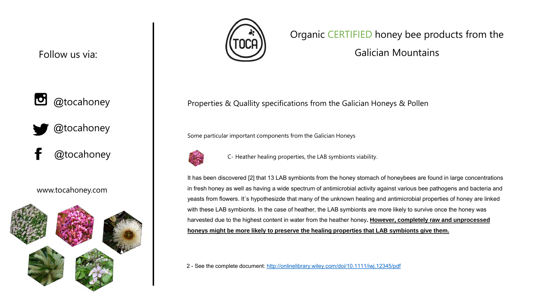

@tocahoney



www.tocahoney.com





## Organic CERTIFIED honey bee products from the

Galician Mountains

Properties & Quallity specifications from the Galician Honeys & Pollen

Some particular important components from the Galician Honeys



C- Heather healing properties, the LAB symbionts viability.

It has been discovered [2] that 13 LAB symbionts from the honey stomach of honeybees are found in large concentrations in fresh honey as well as having a wide spectrum of antimicrobial activity against various bee pathogens and bacteria and yeasts from flowers. It´s hypothesizde that many of the unknown healing and antimicrobial properties of honey are linked with these LAB symbionts. In the case of heather, the LAB symbionts are more likely to survive once the honey was harvested due to the highest content in water from the heather honey**. However, completely raw and unprocessed honeys might be more likely to preserve the healing properties that LAB symbionts give them.**

2 - See the complete document: <http://onlinelibrary.wiley.com/doi/10.1111/iwj.12345/pdf>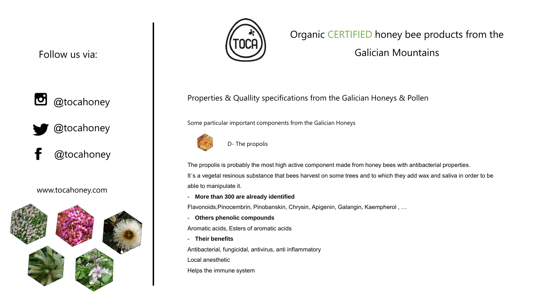

@tocahoney

@tocahoney

www.tocahoney.com





## Organic CERTIFIED honey bee products from the

Galician Mountains

Properties & Quallity specifications from the Galician Honeys & Pollen

Some particular important components from the Galician Honeys



D- The propolis

The propolis is probably the most high active component made from honey bees with antibacterial properties. It´s a vegetal resinous substance that bees harvest on some trees and to which they add wax and saliva in order to be able to manipulate it.

- **More than 300 are already identified**

Flavonoids,Pinocembrin, Pinobanskin, Chrysin, Apigenin, Galangin, Kaempherol , …

- **Others phenolic compounds** 

Aromatic acids, Esters of aromatic acids

- **Their benefits**

Antibacterial, fungicidal, antivirus, anti inflammatory

Local anesthetic

Helps the immune system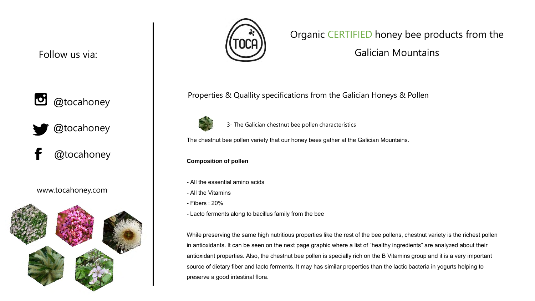

@tocahoney

@tocahoney

www.tocahoney.com





## Organic CERTIFIED honey bee products from the

Galician Mountains

Properties & Quallity specifications from the Galician Honeys & Pollen



3- The Galician chestnut bee pollen characteristics

The chestnut bee pollen variety that our honey bees gather at the Galician Mountains.

**Composition of pollen**

- All the essential amino acids
- All the Vitamins
- Fibers : 20%
- Lacto ferments along to bacillus family from the bee

While preserving the same high nutritious properties like the rest of the bee pollens, chestnut variety is the richest pollen in antioxidants. It can be seen on the next page graphic where a list of "healthy ingredients" are analyzed about their antioxidant properties. Also, the chestnut bee pollen is specially rich on the B Vitamins group and it is a very important source of dietary fiber and lacto ferments. It may has similar properties than the lactic bacteria in yogurts helping to preserve a good intestinal flora.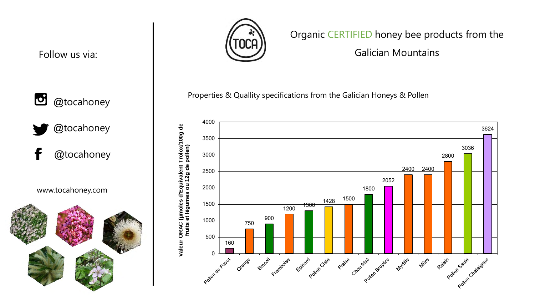

# @tocahoney

www.tocahoney.com





# Organic CERTIFIED honey bee products from the

Galician Mountains

Properties & Quallity specifications from the Galician Honeys & Pollen

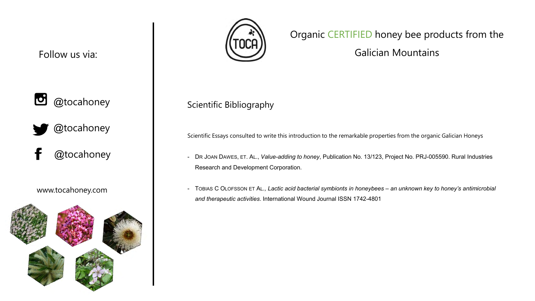

@tocahoney

@tocahoney

www.tocahoney.com





# Organic CERTIFIED honey bee products from the

Galician Mountains

Scientific Bibliography

Scientific Essays consulted to write this introduction to the remarkable properties from the organic Galician Honeys

- DR JOAN DAWES, ET. AL., *Value-adding to honey*, Publication No. 13/123, Project No. PRJ-005590. Rural Industries Research and Development Corporation.
- TOBIAS C OLOFSSON ET AL*., Lactic acid bacterial symbionts in honeybees – an unknown key to honey's antimicrobial and therapeutic activities*. International Wound Journal ISSN 1742-4801